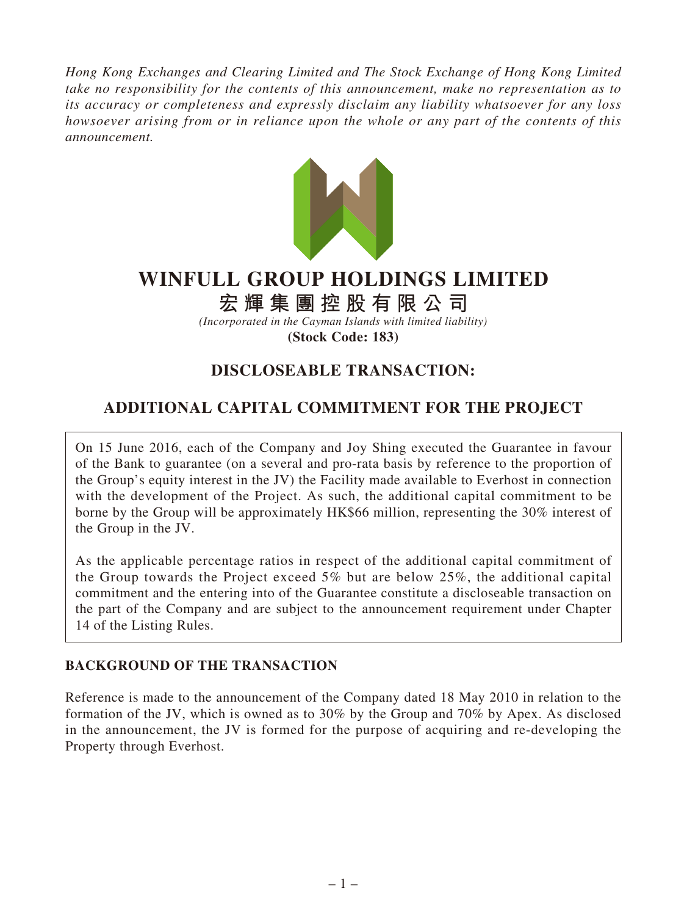*Hong Kong Exchanges and Clearing Limited and The Stock Exchange of Hong Kong Limited take no responsibility for the contents of this announcement, make no representation as to its accuracy or completeness and expressly disclaim any liability whatsoever for any loss howsoever arising from or in reliance upon the whole or any part of the contents of this announcement.*



## **WINFULL GROUP HOLDINGS LIMITED**

# **宏輝集團控股有限公司**

*(Incorporated in the Cayman Islands with limited liability)* **(Stock Code: 183)**

### **DISCLOSEABLE TRANSACTION:**

## **ADDITIONAL CAPITAL COMMITMENT FOR THE PROJECT**

On 15 June 2016, each of the Company and Joy Shing executed the Guarantee in favour of the Bank to guarantee (on a several and pro-rata basis by reference to the proportion of the Group's equity interest in the JV) the Facility made available to Everhost in connection with the development of the Project. As such, the additional capital commitment to be borne by the Group will be approximately HK\$66 million, representing the 30% interest of the Group in the JV.

As the applicable percentage ratios in respect of the additional capital commitment of the Group towards the Project exceed 5% but are below 25%, the additional capital commitment and the entering into of the Guarantee constitute a discloseable transaction on the part of the Company and are subject to the announcement requirement under Chapter 14 of the Listing Rules.

#### **BACKGROUND OF THE TRANSACTION**

Reference is made to the announcement of the Company dated 18 May 2010 in relation to the formation of the JV, which is owned as to 30% by the Group and 70% by Apex. As disclosed in the announcement, the JV is formed for the purpose of acquiring and re-developing the Property through Everhost.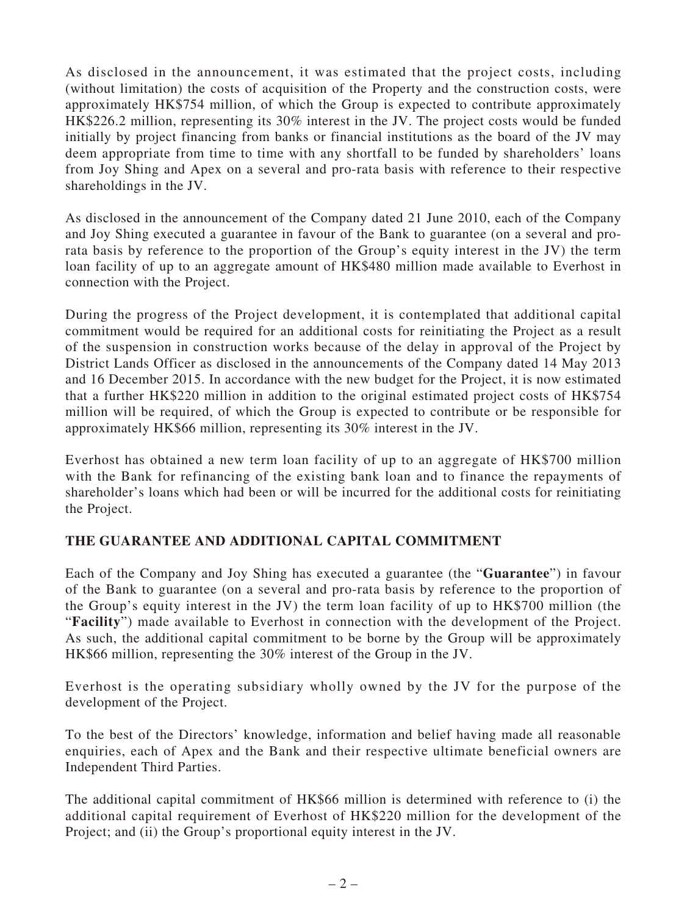As disclosed in the announcement, it was estimated that the project costs, including (without limitation) the costs of acquisition of the Property and the construction costs, were approximately HK\$754 million, of which the Group is expected to contribute approximately HK\$226.2 million, representing its 30% interest in the JV. The project costs would be funded initially by project financing from banks or financial institutions as the board of the JV may deem appropriate from time to time with any shortfall to be funded by shareholders' loans from Joy Shing and Apex on a several and pro-rata basis with reference to their respective shareholdings in the JV.

As disclosed in the announcement of the Company dated 21 June 2010, each of the Company and Joy Shing executed a guarantee in favour of the Bank to guarantee (on a several and prorata basis by reference to the proportion of the Group's equity interest in the JV) the term loan facility of up to an aggregate amount of HK\$480 million made available to Everhost in connection with the Project.

During the progress of the Project development, it is contemplated that additional capital commitment would be required for an additional costs for reinitiating the Project as a result of the suspension in construction works because of the delay in approval of the Project by District Lands Officer as disclosed in the announcements of the Company dated 14 May 2013 and 16 December 2015. In accordance with the new budget for the Project, it is now estimated that a further HK\$220 million in addition to the original estimated project costs of HK\$754 million will be required, of which the Group is expected to contribute or be responsible for approximately HK\$66 million, representing its 30% interest in the JV.

Everhost has obtained a new term loan facility of up to an aggregate of HK\$700 million with the Bank for refinancing of the existing bank loan and to finance the repayments of shareholder's loans which had been or will be incurred for the additional costs for reinitiating the Project.

#### **THE GUARANTEE AND ADDITIONAL CAPITAL COMMITMENT**

Each of the Company and Joy Shing has executed a guarantee (the "**Guarantee**") in favour of the Bank to guarantee (on a several and pro-rata basis by reference to the proportion of the Group's equity interest in the JV) the term loan facility of up to HK\$700 million (the "**Facility**") made available to Everhost in connection with the development of the Project. As such, the additional capital commitment to be borne by the Group will be approximately HK\$66 million, representing the 30% interest of the Group in the JV.

Everhost is the operating subsidiary wholly owned by the JV for the purpose of the development of the Project.

To the best of the Directors' knowledge, information and belief having made all reasonable enquiries, each of Apex and the Bank and their respective ultimate beneficial owners are Independent Third Parties.

The additional capital commitment of HK\$66 million is determined with reference to (i) the additional capital requirement of Everhost of HK\$220 million for the development of the Project; and (ii) the Group's proportional equity interest in the JV.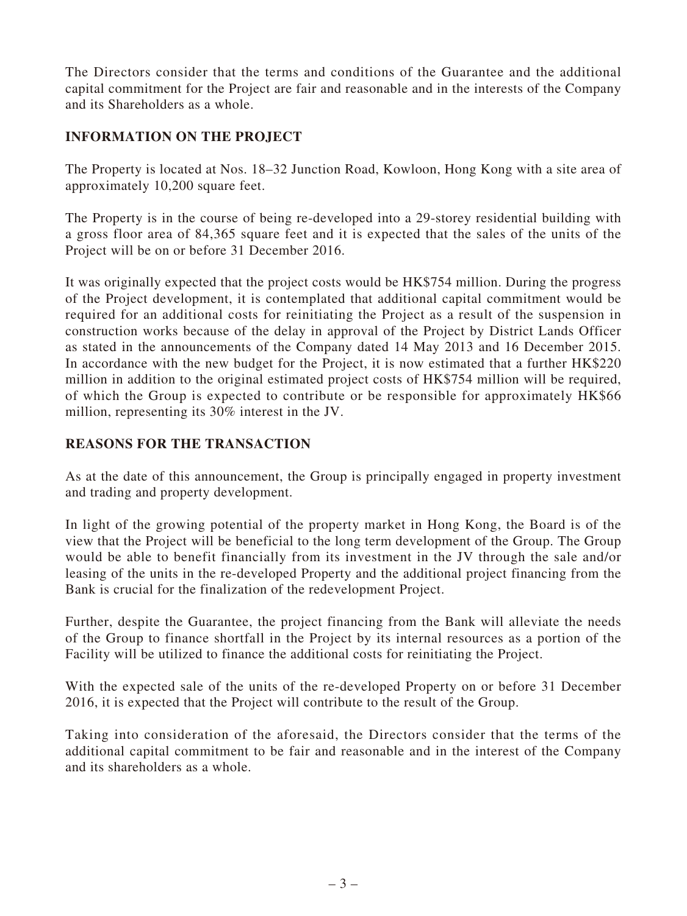The Directors consider that the terms and conditions of the Guarantee and the additional capital commitment for the Project are fair and reasonable and in the interests of the Company and its Shareholders as a whole.

#### **INFORMATION ON THE PROJECT**

The Property is located at Nos. 18–32 Junction Road, Kowloon, Hong Kong with a site area of approximately 10,200 square feet.

The Property is in the course of being re-developed into a 29-storey residential building with a gross floor area of 84,365 square feet and it is expected that the sales of the units of the Project will be on or before 31 December 2016.

It was originally expected that the project costs would be HK\$754 million. During the progress of the Project development, it is contemplated that additional capital commitment would be required for an additional costs for reinitiating the Project as a result of the suspension in construction works because of the delay in approval of the Project by District Lands Officer as stated in the announcements of the Company dated 14 May 2013 and 16 December 2015. In accordance with the new budget for the Project, it is now estimated that a further HK\$220 million in addition to the original estimated project costs of HK\$754 million will be required, of which the Group is expected to contribute or be responsible for approximately HK\$66 million, representing its 30% interest in the JV.

#### **REASONS FOR THE TRANSACTION**

As at the date of this announcement, the Group is principally engaged in property investment and trading and property development.

In light of the growing potential of the property market in Hong Kong, the Board is of the view that the Project will be beneficial to the long term development of the Group. The Group would be able to benefit financially from its investment in the JV through the sale and/or leasing of the units in the re-developed Property and the additional project financing from the Bank is crucial for the finalization of the redevelopment Project.

Further, despite the Guarantee, the project financing from the Bank will alleviate the needs of the Group to finance shortfall in the Project by its internal resources as a portion of the Facility will be utilized to finance the additional costs for reinitiating the Project.

With the expected sale of the units of the re-developed Property on or before 31 December 2016, it is expected that the Project will contribute to the result of the Group.

Taking into consideration of the aforesaid, the Directors consider that the terms of the additional capital commitment to be fair and reasonable and in the interest of the Company and its shareholders as a whole.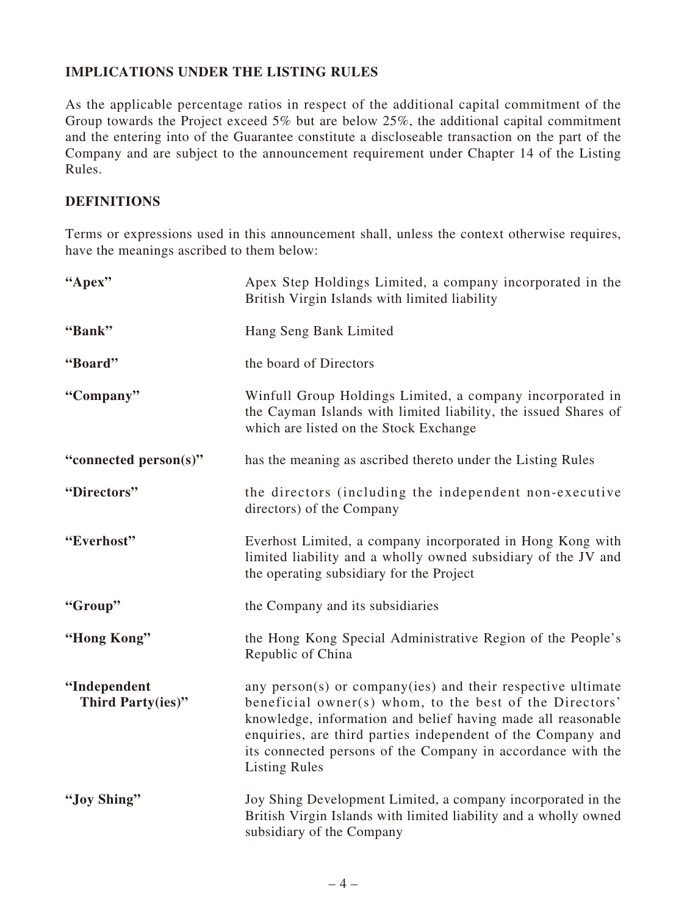#### **IMPLICATIONS UNDER THE LISTING RULES**

As the applicable percentage ratios in respect of the additional capital commitment of the Group towards the Project exceed 5% but are below 25%, the additional capital commitment and the entering into of the Guarantee constitute a discloseable transaction on the part of the Company and are subject to the announcement requirement under Chapter 14 of the Listing Rules.

#### **DEFINITIONS**

Terms or expressions used in this announcement shall, unless the context otherwise requires, have the meanings ascribed to them below:

| "Apex"                            | Apex Step Holdings Limited, a company incorporated in the<br>British Virgin Islands with limited liability                                                                                                                                                                                                                                   |
|-----------------------------------|----------------------------------------------------------------------------------------------------------------------------------------------------------------------------------------------------------------------------------------------------------------------------------------------------------------------------------------------|
| "Bank"                            | Hang Seng Bank Limited                                                                                                                                                                                                                                                                                                                       |
| "Board"                           | the board of Directors                                                                                                                                                                                                                                                                                                                       |
| "Company"                         | Winfull Group Holdings Limited, a company incorporated in<br>the Cayman Islands with limited liability, the issued Shares of<br>which are listed on the Stock Exchange                                                                                                                                                                       |
| "connected person(s)"             | has the meaning as ascribed thereto under the Listing Rules                                                                                                                                                                                                                                                                                  |
| "Directors"                       | the directors (including the independent non-executive<br>directors) of the Company                                                                                                                                                                                                                                                          |
| "Everhost"                        | Everhost Limited, a company incorporated in Hong Kong with<br>limited liability and a wholly owned subsidiary of the JV and<br>the operating subsidiary for the Project                                                                                                                                                                      |
| "Group"                           | the Company and its subsidiaries                                                                                                                                                                                                                                                                                                             |
| "Hong Kong"                       | the Hong Kong Special Administrative Region of the People's<br>Republic of China                                                                                                                                                                                                                                                             |
| "Independent<br>Third Party(ies)" | any person(s) or company(ies) and their respective ultimate<br>beneficial owner(s) whom, to the best of the Directors'<br>knowledge, information and belief having made all reasonable<br>enquiries, are third parties independent of the Company and<br>its connected persons of the Company in accordance with the<br><b>Listing Rules</b> |
| "Joy Shing"                       | Joy Shing Development Limited, a company incorporated in the<br>British Virgin Islands with limited liability and a wholly owned<br>subsidiary of the Company                                                                                                                                                                                |